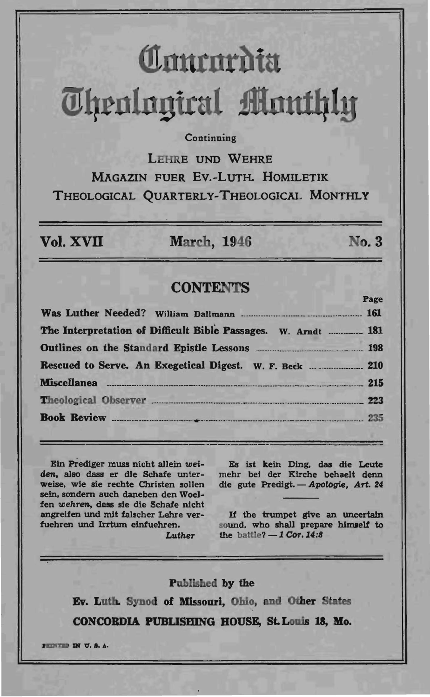# **Contentata Theological Monthly**

## Continuing

LEHRE UND WEHRE MAGAZIN FUER EV.-LUTH, HOMILETIK THEOLOGICAL OUARTERLY-THEOLOGICAL MONTHLY

Vol. XVII

**March, 1946** 

# No. 3

 $P<sub>0</sub>$ 

# **CONTENTS**

| The Interpretation of Difficult Bible Passages. W. Arndt  181 |  |                          |  |
|---------------------------------------------------------------|--|--------------------------|--|
|                                                               |  |                          |  |
|                                                               |  |                          |  |
|                                                               |  | Theological Observer 223 |  |
|                                                               |  |                          |  |

Ein Prediger muss nicht allein weiden, also dass er die Schafe unterweise, wie sie rechte Christen sollen sein, sondern auch daneben den Woelfen wehren, dass sie die Schafe nicht angreifen und mit falscher Lehre verfuehren und Irrtum einfuehren.

Luther

Es ist kein Ding, das die Leute mehr bei der Kirche behaelt denn die gute Predigt. - Apologie, Art. 24

If the trumpet give an uncertain sound, who shall prepare himself to the battle?  $-1$  Cor. 14:8

#### Published by the

Ev. Luth. Synod of Missouri, Ohio, and Other States CONCORDIA PUBLISHING HOUSE, St. Louis 18, Mo.

FEDERAL IN U.S.A.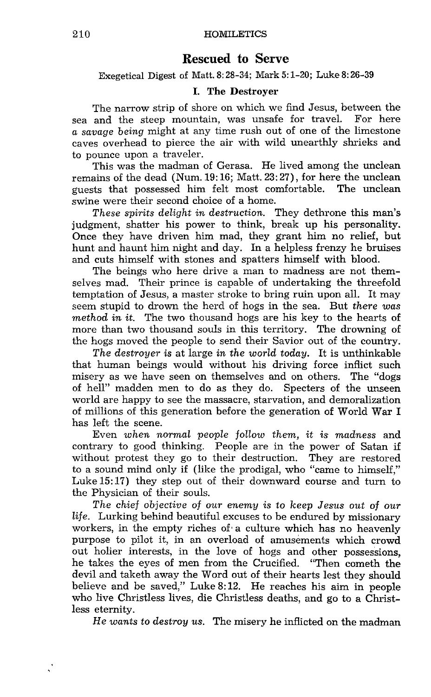# **Rescued to** Serve

Exegetical Digest of Matt. 8: 28-34; Mark 5: 1-20; Luke 8: 26-39

## I. The Destroyer

The narrow strip of shore on which we find Jesus, between the sea and the steep mountain, was unsafe for travel. For here *a savage being* might at any time rush out of one of the limestone caves overhead to pierce the air with wild unearthly shrieks and to pounce upon a traveler.

This was the madman of Gerasa. He lived among the unclean remains of the dead (Num. 19:16; Matt. 23: 27), for here the unclean<br>guests, that, possessed, him, felt, most, comfortable. The unclean guests that possessed him felt most comfortable. swine were their second choice of a home.

*These spirits delight in destruction.* They dethrone this man's judgment, shatter his power to think, break up his personality. Once they have driven him mad, they grant him no relief, but hunt and haunt him night and day. In a helpless frenzy he bruises and cuts himself with stones and spatters himself with blood.

The beings who here drive a man to madness are not themselves mad. Their prince is capable of undertaking the threefold temptation of Jesus, a master stroke to bring ruin upon all. It may seem stupid to drown the herd of hogs in the sea. But *there was method in it.* The two thousand hogs are his key to the hearts of more than two thousand souls in this territory. The drowning of the hogs moved the people to send their Savior out of the country.

*The destroyer* is at large *in the world today.* It is unthinkable that human beings would without his driving force inflict such misery as we have seen on themselves and on others. The "dogs of hell" madden men to do as they do. Specters of the unseen world are happy to see the massacre, starvation, and demoralization of millions of this generation before the generation of World War I has left the scene.

Even *when normal people follow them,* it is *madness* and contrary to good thinking. People are in the power of Satan if without protest they go to their destruction. They are restored to a sound mind only if (like the prodigal, who "came to himself," Luke 15: 17) they step out of their downward course and turn to the Physician of their souls.

*The chief* objective *of our enemy is* to *keep Jesus out of our life.* Lurking behind beautiful excuses to be endured by missionary workers, in the empty riches of a culture which has no heavenly purpose to pilot it, in an overload of amusements which crowd out holier interests, in the love of hogs and other possessions, he takes the eyes of men from the Crucified. "Then cometh the devil and taketh away the Word out of their hearts lest they should believe and be saved," Luke 8: 12. He reaches his aim in people who live Christless lives, die Christless deaths, and go to a Christless eternity.

He *wants* to *destroy us.* The misery he inflicted on the madman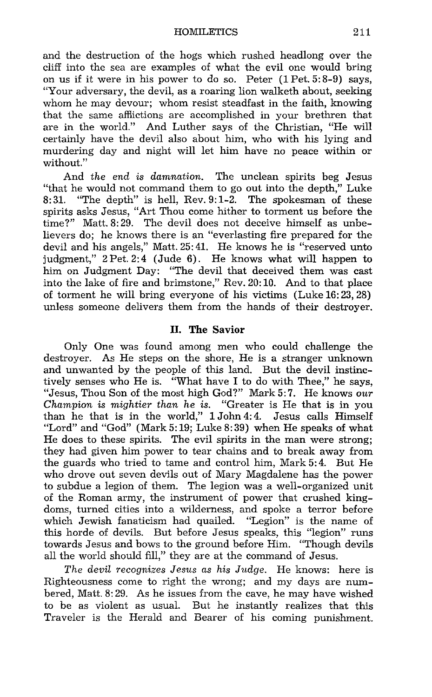HOMILETICS 211

and the destruction of the hogs which rushed headlong over the cliff into the sea are examples of what the evil one would bring on us if it were in his power to do so. Peter (1 Pet. 5: 8-9) says, "Your adversary, the devil, as a roaring lion walketh about, seeking whom he may devour; whom resist steadfast in the faith, knowing that the same affiictions are accomplished in your brethren that are in the world." And Luther says of the Christian, "He will certainly have the devil also about him, who with his lying and murdering day and night will let him have no peace within or without."

And *the end is damnation.* The unclean spirits beg Jesus "that he would not command them to go out into the depth," Luke  $8:31$ . "The depth" is hell. Rev.  $9:1-2$ . The spokesman of these "The depth" is hell, Rev. 9:1-2. The spokesman of these spirits asks Jesus, "Art Thou come hither to torment us before the time?" Matt. 8:29. The devil does not deceive himself as unbelievers do; he knows there is an "everlasting fire prepared for the devil and his angels," Matt. 25: 41. He knows he is "reserved unto judgment," 2 Pet. 2:4 (Jude 6). He knows what will happen to him on Judgment Day: "The devil that deceived them was cast into the lake of fire and brimstone," Rev. 20: 10. And to that place of torment he will bring everyone of his victims (Luke 16: 23,28) unless someone delivers them from the hands of their destroyer.

### II. The Savior

Only One was found among men who could challenge the destroyer. As He steps on the shore, He is a stranger unknown and unwanted by the people of this land. But the devil instinctively senses who He is. "What have I to do with Thee," he says, "Jesus, Thou Son of the most high God?" Mark 5: 7. He knows *our Champion is mightier than he is.* "Greater is He that is in you than he that is in the world," 1 John 4: 4. Jesus calls Himself "Lord" and "God" (Mark 5: 19; Luke 8: 39) when He speaks of what He does to these spirits. The evil spirits in the man were strong; they had given him power to tear chains and to break away from the guards who tried to tame and control him, Mark 5: 4. But He who drove out seven devils out of Mary Magdalene has the power to subdue a legion of them. The legion was a well-organized unit of the Roman army, the instrument of power that crushed kingdoms, turned cities into a wilderness, and spoke a terror before which Jewish fanaticism had quailed. "Legion" is the name of this horde of devils. But before Jesus speaks, this "legion" runs towards Jesus and bows to the ground before Him. "Though devils all the world should fill," they are at the command of Jesus.

*The devil recognizes Jesus as his Judge.* He knows: here is Righteousness come to right the wrong; and my days are numbered, Matt. 8: 29. As he issues from the cave, he may have wished to be as violent as usual. But he instantly realizes that this Traveler is the Herald and Bearer of his coming punishment.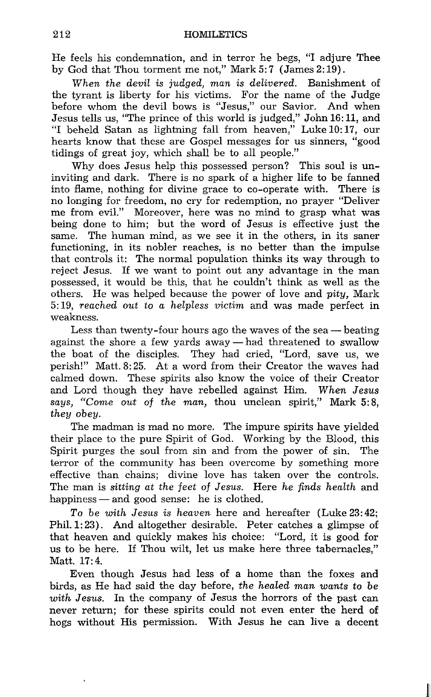He feels his condemnation, and in terror he begs, "I adjure Thee by God that Thou torment me not," Mark 5:7 (James 2:19).

*When the devil is judged, man is deLivered.* Banishment of the tyrant is liberty for his victims. For the name of the Judge before whom the devil bows is "Jesus," our Savior. And when Jesus tells us, "The prince of this world is judged," John 16: 11, and "I beheld Satan as lightning fall from heaven," Luke 10: 17, our hearts know that these are Gospel messages for us sinners, "good tidings of great joy, which shall be to all people."

Why does Jesus help this possessed person? This soul is uninviting and dark. There is no spark of a higher life to be fanned into flame, nothing for divine grace to co-operate with. There is no longing for freedom, no cry for redemption, no prayer "Deliver me from evil." Moreover, here was no mind to grasp what was being done to him; but the word of Jesus is effective just the same. The human mind, as we see it in the others, in its saner functioning, in its nobler reaches, is no better than the impulse that controls it: The normal population thinks its way through to reject Jesus. If we want to point out any advantage in the man possessed, it would be this, that he couldn't think as well as the others. He was helped because the power of love and *pity,* Mark 5: 19, *reached out* to *a helpless victim* and was made perfect in weakness.

Less than twenty-four hours ago the waves of the sea  $-$  beating against the shore a few yards away  $-$  had threatened to swallow the boat of the disciples. They had cried, "Lord, save us, we perish!" Matt. 8: 25. At a word from their Creator the waves had calmed down. These spirits also know the voice of their Creator and Lord though they have rebelled against Him. *When Jesus says,* "Come *out* of *the man,* thou unclean spirit," Mark 5: 8, *they obey.* 

The madman is mad no more. The impure spirits have yielded their place to the pure Spirit of God. Working by the Blood, this Spirit purges the soul from sin and from the power of sin. The terror of the community has been overcome by something more effective than chains; divine love has taken over the controls. The man is *sitting at the* feet of *Jesus.* Here *he* finds *health* and happiness - and good sense: he is clothed.

*To be with Jesus is heaven* here and hereafter (Luke 23: 42; Phil. 1: 23) . And altogether desirable. Peter catches a glimpse of that heaven and quickly makes his choice: "Lord, it is good for us to be here. If Thou wilt, let us make here three tabernacles," Matt. 17: 4.

Even though Jesus had less of a home than the foxes and birds, as He had said the day before, *the healed man wants* to *be with Jesus.* In the company of Jesus the horrors of the past can never return; for these spirits could not even enter the herd of hogs without His permission. With Jesus he can live a decent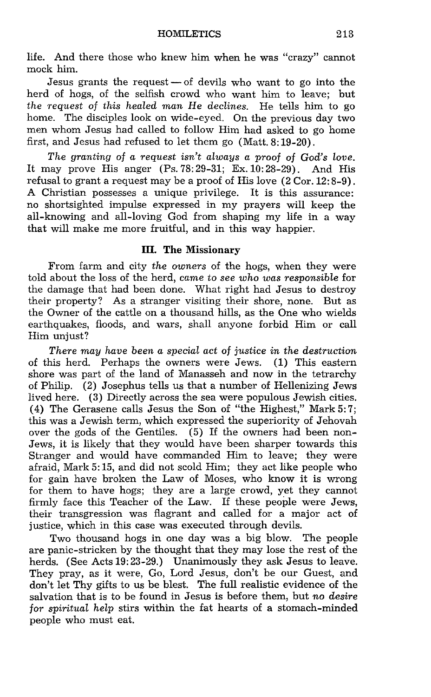life. And there those who knew him when he was "crazy" cannot mock him.

Jesus grants the request  $-$  of devils who want to go into the herd of hogs, of the selfish crowd who want him to leave; but *the request of this healed man* He *declines.* He tells him to go home. The disciples look on wide-eyed. On the previous day two men whom Jesus had called to follow Him had asked to go home first, and Jesus had refused to let them go (Matt. 8: 19-20).

*The granting of a request isn't always a proof of God's love.*  It may prove His anger (Ps. 78: 29-31; Ex. 10: 28-29). And His refusal to grant a request may be a proof of His love (2 Cor. 12: 8-9). A Christian possesses a unique privilege. It is this assurance: no shortsighted impulse expressed in my prayers will keep the all-knowing and all-loving God from shaping my life in a way that will make me more fruitful, and in this way happier.

## **III. The** Missionary

From farm and city *the owners* of the hogs, when they were told about the loss of the herd, *came* to *see who was responsible* for the damage that had been done. What right had Jesus to destroy their property? As a stranger visiting their shore, none. But as the Owner of the cattle on a thousand hills, as the One who wields earthquakes, floods, and wars, shall anyone forbid Him or call Him unjust?

*There may have been a special act of justice in the destruction*  of this herd. Perhaps the owners were Jews. (1) This eastern shore was part of the land of Manasseh and now in the tetrarchy of Philip. (2) Josephus tells us that a number of Hellenizing Jews lived here. (3) Directly across the sea were populous Jewish cities. (4) The Gerasene calls Jesus the Son of "the Highest," Mark 5: 7; this was a Jewish term, which expressed the superiority of Jehovah over the gods of the Gentiles. (5) If the owners had been non-Jews, it is likely that they would have been sharper towards this Stranger and would have commanded Him to leave; they were afraid, Mark 5: 15, and did not scold Him; they act like people who for gain have broken the Law of Moses, who know it is wrong for them to have hogs; they are a large crowd, yet they cannot firmly face this Teacher of the Law. If these people were Jews, their transgression was flagrant and called for a major act of justice, which in this case was executed through devils.

Two thousand hogs in one day was a big blow. The people are panic-stricken by the thought that they may lose the rest of the herds. (See Acts 19: 23-29.) Unanimously they ask Jesus to leave. They pray, as it were, Go, Lord Jesus, don't be our Guest, and don't let Thy gifts to us be blest. The full realistic evidence of the salvation that is to be found in Jesus is before them, but *no desire for spiritual help* stirs within the fat hearts of a stomach-minded people who must eat.